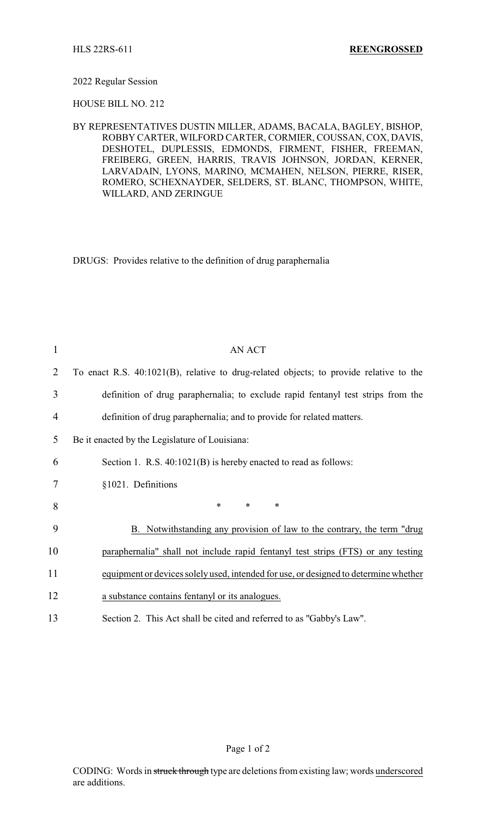## 2022 Regular Session

HOUSE BILL NO. 212

BY REPRESENTATIVES DUSTIN MILLER, ADAMS, BACALA, BAGLEY, BISHOP, ROBBY CARTER, WILFORD CARTER, CORMIER, COUSSAN, COX, DAVIS, DESHOTEL, DUPLESSIS, EDMONDS, FIRMENT, FISHER, FREEMAN, FREIBERG, GREEN, HARRIS, TRAVIS JOHNSON, JORDAN, KERNER, LARVADAIN, LYONS, MARINO, MCMAHEN, NELSON, PIERRE, RISER, ROMERO, SCHEXNAYDER, SELDERS, ST. BLANC, THOMPSON, WHITE, WILLARD, AND ZERINGUE

DRUGS: Provides relative to the definition of drug paraphernalia

| 1  | <b>AN ACT</b>                                                                          |
|----|----------------------------------------------------------------------------------------|
| 2  | To enact R.S. 40:1021(B), relative to drug-related objects; to provide relative to the |
| 3  | definition of drug paraphernalia; to exclude rapid fentanyl test strips from the       |
| 4  | definition of drug paraphernalia; and to provide for related matters.                  |
| 5  | Be it enacted by the Legislature of Louisiana:                                         |
| 6  | Section 1. R.S. 40:1021(B) is hereby enacted to read as follows:                       |
| 7  | §1021. Definitions                                                                     |
| 8  | $\ast$<br>$\ast$<br>∗                                                                  |
| 9  | B. Notwithstanding any provision of law to the contrary, the term "drug                |
| 10 | paraphernalia" shall not include rapid fentanyl test strips (FTS) or any testing       |
| 11 | equipment or devices solely used, intended for use, or designed to determine whether   |
| 12 | a substance contains fentanyl or its analogues.                                        |
| 13 | Section 2. This Act shall be cited and referred to as "Gabby's Law".                   |

Page 1 of 2